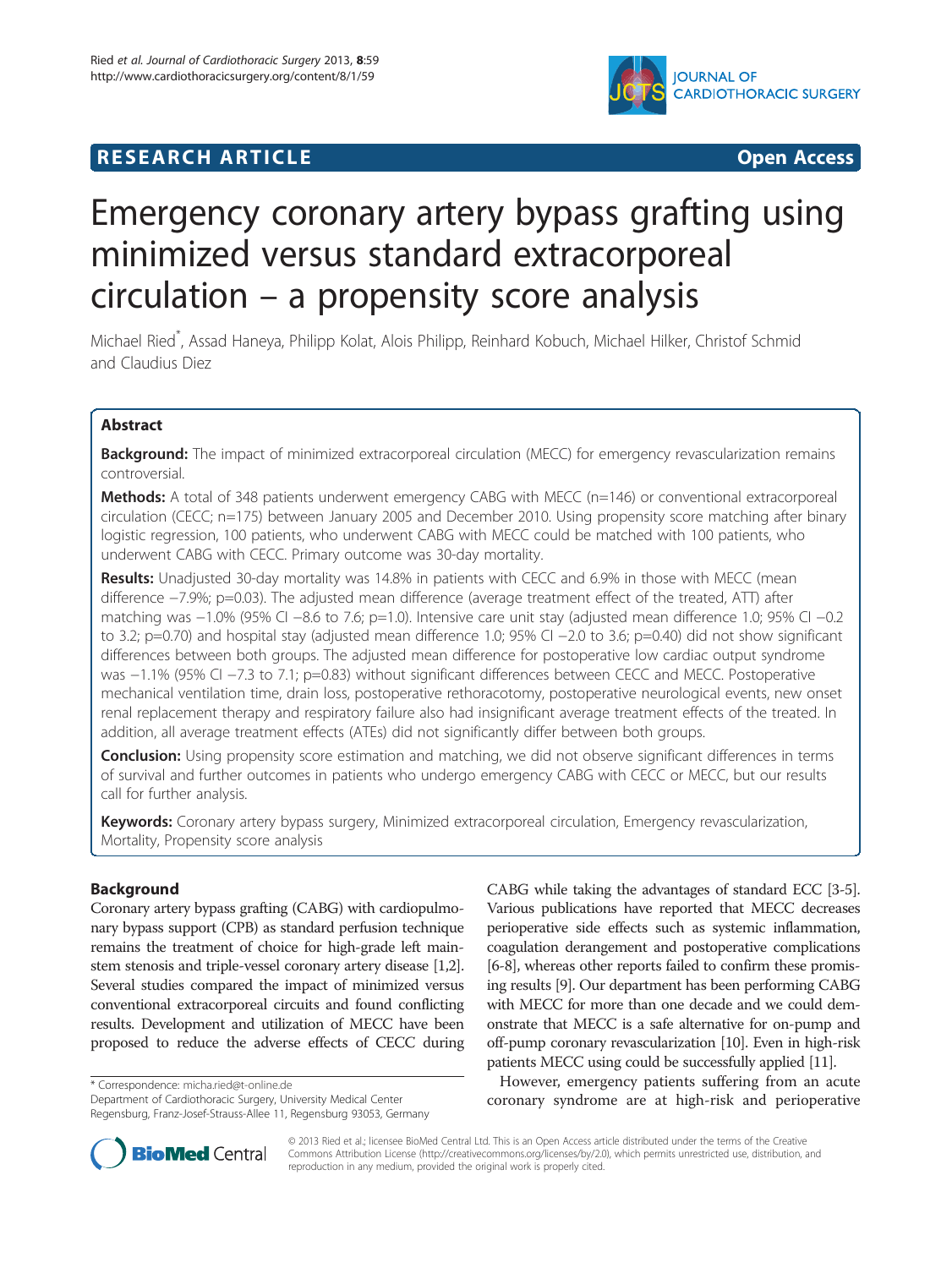# **RESEARCH ARTICLE CONSUMING A RESEARCH ARTICLE**



# Emergency coronary artery bypass grafting using minimized versus standard extracorporeal circulation – a propensity score analysis

Michael Ried\* , Assad Haneya, Philipp Kolat, Alois Philipp, Reinhard Kobuch, Michael Hilker, Christof Schmid and Claudius Diez

# Abstract

Background: The impact of minimized extracorporeal circulation (MECC) for emergency revascularization remains controversial.

**Methods:** A total of 348 patients underwent emergency CABG with MECC (n=146) or conventional extracorporeal circulation (CECC; n=175) between January 2005 and December 2010. Using propensity score matching after binary logistic regression, 100 patients, who underwent CABG with MECC could be matched with 100 patients, who underwent CABG with CECC. Primary outcome was 30-day mortality.

Results: Unadjusted 30-day mortality was 14.8% in patients with CECC and 6.9% in those with MECC (mean difference −7.9%; p=0.03). The adjusted mean difference (average treatment effect of the treated, ATT) after matching was −1.0% (95% CI −8.6 to 7.6; p=1.0). Intensive care unit stay (adjusted mean difference 1.0; 95% CI −0.2 to 3.2; p=0.70) and hospital stay (adjusted mean difference 1.0; 95% CI −2.0 to 3.6; p=0.40) did not show significant differences between both groups. The adjusted mean difference for postoperative low cardiac output syndrome was −1.1% (95% CI −7.3 to 7.1; p=0.83) without significant differences between CECC and MECC. Postoperative mechanical ventilation time, drain loss, postoperative rethoracotomy, postoperative neurological events, new onset renal replacement therapy and respiratory failure also had insignificant average treatment effects of the treated. In addition, all average treatment effects (ATEs) did not significantly differ between both groups.

**Conclusion:** Using propensity score estimation and matching, we did not observe significant differences in terms of survival and further outcomes in patients who undergo emergency CABG with CECC or MECC, but our results call for further analysis.

Keywords: Coronary artery bypass surgery, Minimized extracorporeal circulation, Emergency revascularization, Mortality, Propensity score analysis

# Background

Coronary artery bypass grafting (CABG) with cardiopulmonary bypass support (CPB) as standard perfusion technique remains the treatment of choice for high-grade left mainstem stenosis and triple-vessel coronary artery disease [\[1,2](#page-6-0)]. Several studies compared the impact of minimized versus conventional extracorporeal circuits and found conflicting results. Development and utilization of MECC have been proposed to reduce the adverse effects of CECC during

\* Correspondence: [micha.ried@t-online.de](mailto:micha.ried@t-online.de)

Department of Cardiothoracic Surgery, University Medical Center Regensburg, Franz-Josef-Strauss-Allee 11, Regensburg 93053, Germany

CABG while taking the advantages of standard ECC [[3](#page-6-0)-[5](#page-6-0)]. Various publications have reported that MECC decreases perioperative side effects such as systemic inflammation, coagulation derangement and postoperative complications [[6](#page-6-0)-[8\]](#page-6-0), whereas other reports failed to confirm these promising results [\[9](#page-6-0)]. Our department has been performing CABG with MECC for more than one decade and we could demonstrate that MECC is a safe alternative for on-pump and off-pump coronary revascularization [\[10](#page-6-0)]. Even in high-risk patients MECC using could be successfully applied [\[11\]](#page-6-0).

However, emergency patients suffering from an acute coronary syndrome are at high-risk and perioperative



© 2013 Ried et al.; licensee BioMed Central Ltd. This is an Open Access article distributed under the terms of the Creative Commons Attribution License [\(http://creativecommons.org/licenses/by/2.0\)](http://creativecommons.org/licenses/by/2.0), which permits unrestricted use, distribution, and reproduction in any medium, provided the original work is properly cited.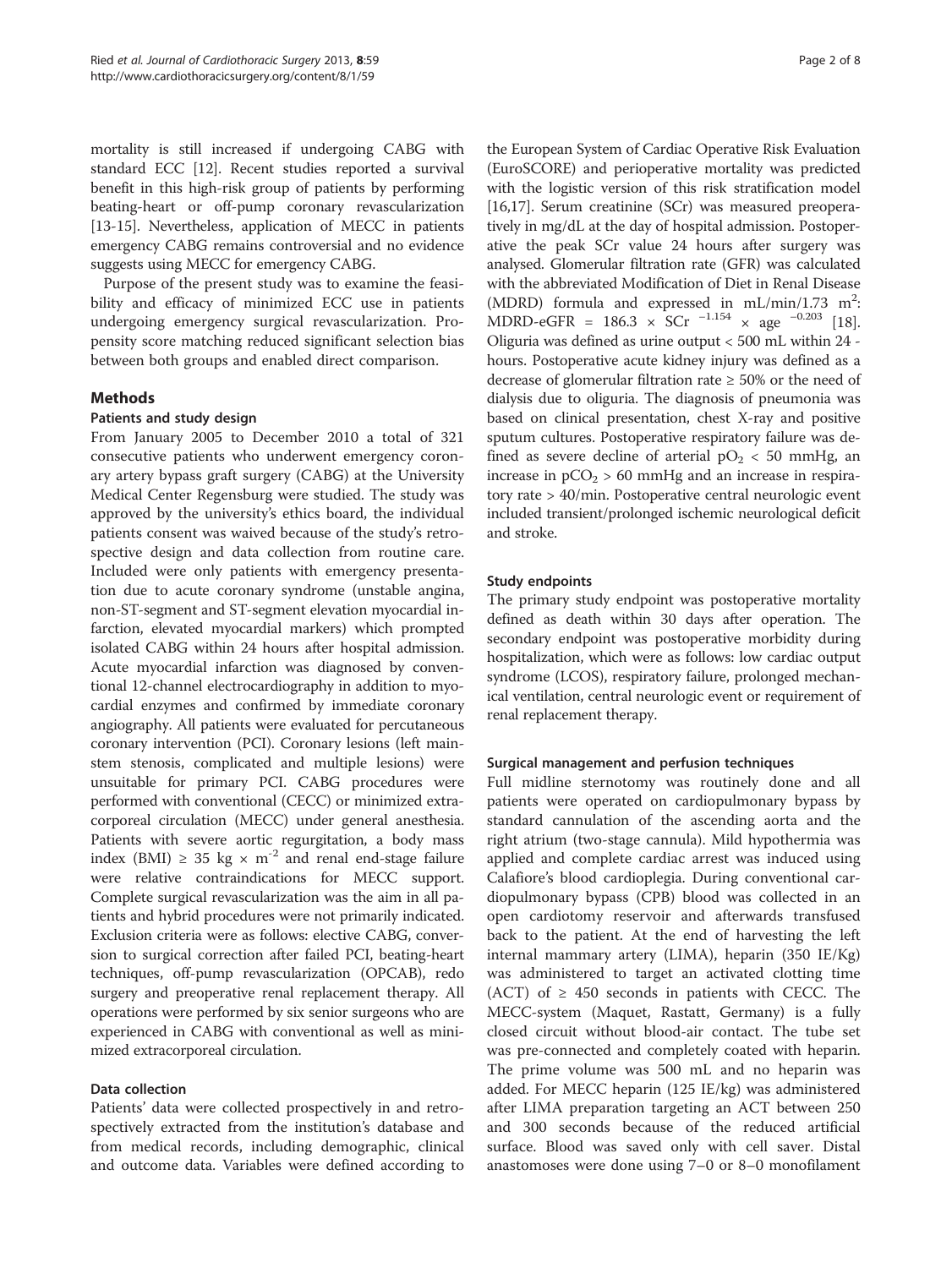mortality is still increased if undergoing CABG with standard ECC [[12](#page-6-0)]. Recent studies reported a survival benefit in this high-risk group of patients by performing beating-heart or off-pump coronary revascularization [[13](#page-6-0)-[15\]](#page-6-0). Nevertheless, application of MECC in patients emergency CABG remains controversial and no evidence suggests using MECC for emergency CABG.

Purpose of the present study was to examine the feasibility and efficacy of minimized ECC use in patients undergoing emergency surgical revascularization. Propensity score matching reduced significant selection bias between both groups and enabled direct comparison.

### Methods

#### Patients and study design

From January 2005 to December 2010 a total of 321 consecutive patients who underwent emergency coronary artery bypass graft surgery (CABG) at the University Medical Center Regensburg were studied. The study was approved by the university's ethics board, the individual patients consent was waived because of the study's retrospective design and data collection from routine care. Included were only patients with emergency presentation due to acute coronary syndrome (unstable angina, non-ST-segment and ST-segment elevation myocardial infarction, elevated myocardial markers) which prompted isolated CABG within 24 hours after hospital admission. Acute myocardial infarction was diagnosed by conventional 12-channel electrocardiography in addition to myocardial enzymes and confirmed by immediate coronary angiography. All patients were evaluated for percutaneous coronary intervention (PCI). Coronary lesions (left mainstem stenosis, complicated and multiple lesions) were unsuitable for primary PCI. CABG procedures were performed with conventional (CECC) or minimized extracorporeal circulation (MECC) under general anesthesia. Patients with severe aortic regurgitation, a body mass index (BMI)  $\geq$  35 kg  $\times$  m<sup>-2</sup> and renal end-stage failure were relative contraindications for MECC support. Complete surgical revascularization was the aim in all patients and hybrid procedures were not primarily indicated. Exclusion criteria were as follows: elective CABG, conversion to surgical correction after failed PCI, beating-heart techniques, off-pump revascularization (OPCAB), redo surgery and preoperative renal replacement therapy. All operations were performed by six senior surgeons who are experienced in CABG with conventional as well as minimized extracorporeal circulation.

#### Data collection

Patients' data were collected prospectively in and retrospectively extracted from the institution's database and from medical records, including demographic, clinical and outcome data. Variables were defined according to

the European System of Cardiac Operative Risk Evaluation (EuroSCORE) and perioperative mortality was predicted with the logistic version of this risk stratification model [[16](#page-6-0),[17](#page-6-0)]. Serum creatinine (SCr) was measured preoperatively in mg/dL at the day of hospital admission. Postoperative the peak SCr value 24 hours after surgery was analysed. Glomerular filtration rate (GFR) was calculated with the abbreviated Modification of Diet in Renal Disease (MDRD) formula and expressed in mL/min/1.73  $m^2$ : MDRD-eGFR =  $186.3 \times \text{SCr}^{-1.154} \times \text{age}^{-0.203}$  $186.3 \times \text{SCr}^{-1.154} \times \text{age}^{-0.203}$  [18]. Oliguria was defined as urine output < 500 mL within 24 hours. Postoperative acute kidney injury was defined as a decrease of glomerular filtration rate  $\geq$  50% or the need of dialysis due to oliguria. The diagnosis of pneumonia was based on clinical presentation, chest X-ray and positive sputum cultures. Postoperative respiratory failure was defined as severe decline of arterial  $pO<sub>2</sub> < 50$  mmHg, an increase in  $pCO<sub>2</sub> > 60$  mmHg and an increase in respiratory rate > 40/min. Postoperative central neurologic event included transient/prolonged ischemic neurological deficit and stroke.

#### Study endpoints

The primary study endpoint was postoperative mortality defined as death within 30 days after operation. The secondary endpoint was postoperative morbidity during hospitalization, which were as follows: low cardiac output syndrome (LCOS), respiratory failure, prolonged mechanical ventilation, central neurologic event or requirement of renal replacement therapy.

#### Surgical management and perfusion techniques

Full midline sternotomy was routinely done and all patients were operated on cardiopulmonary bypass by standard cannulation of the ascending aorta and the right atrium (two-stage cannula). Mild hypothermia was applied and complete cardiac arrest was induced using Calafiore's blood cardioplegia. During conventional cardiopulmonary bypass (CPB) blood was collected in an open cardiotomy reservoir and afterwards transfused back to the patient. At the end of harvesting the left internal mammary artery (LIMA), heparin (350 IE/Kg) was administered to target an activated clotting time (ACT) of  $\geq$  450 seconds in patients with CECC. The MECC-system (Maquet, Rastatt, Germany) is a fully closed circuit without blood-air contact. The tube set was pre-connected and completely coated with heparin. The prime volume was 500 mL and no heparin was added. For MECC heparin (125 IE/kg) was administered after LIMA preparation targeting an ACT between 250 and 300 seconds because of the reduced artificial surface. Blood was saved only with cell saver. Distal anastomoses were done using 7–0 or 8–0 monofilament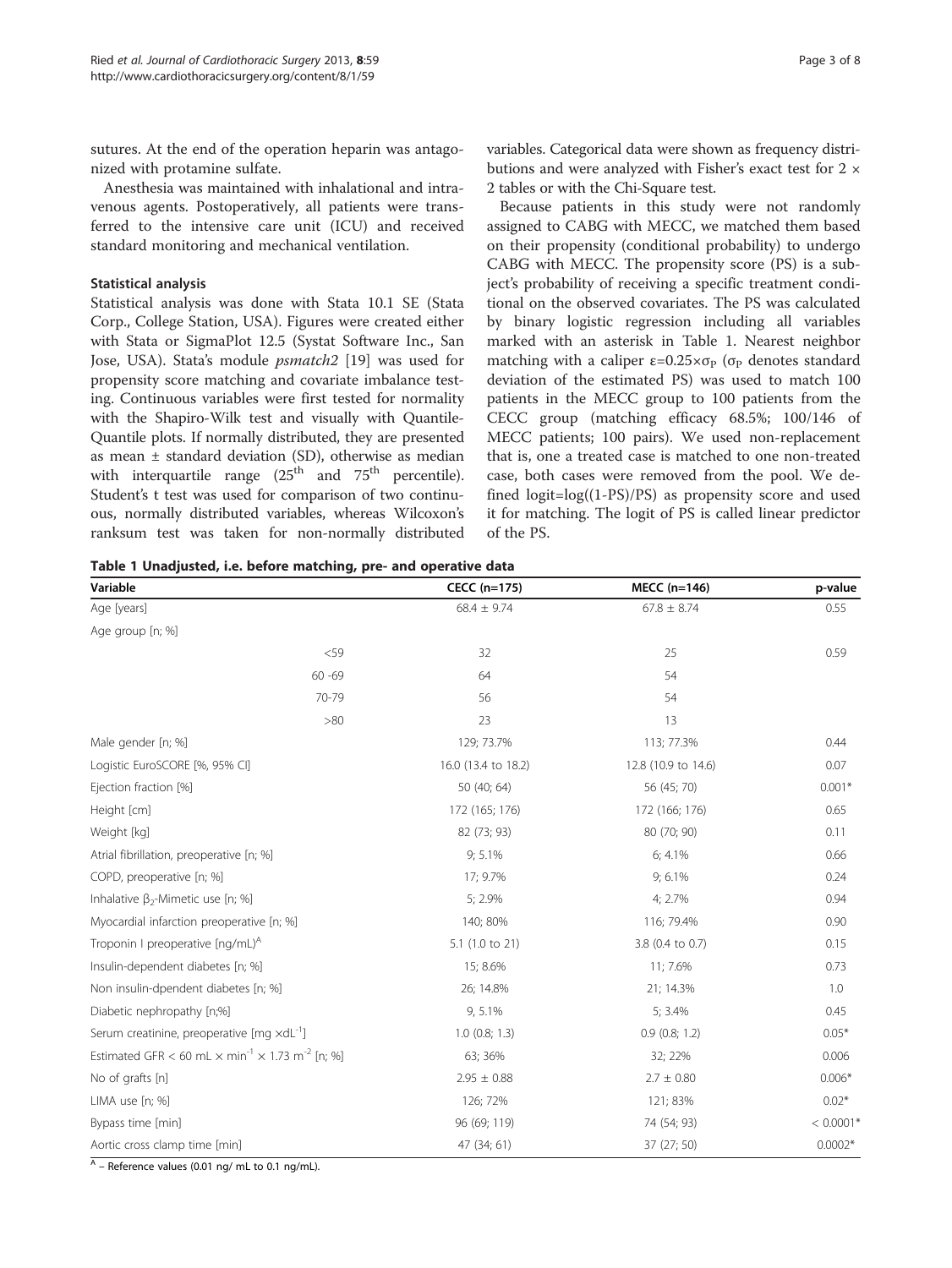<span id="page-2-0"></span>sutures. At the end of the operation heparin was antagonized with protamine sulfate.

Anesthesia was maintained with inhalational and intravenous agents. Postoperatively, all patients were transferred to the intensive care unit (ICU) and received standard monitoring and mechanical ventilation.

#### Statistical analysis

Statistical analysis was done with Stata 10.1 SE (Stata Corp., College Station, USA). Figures were created either with Stata or SigmaPlot 12.5 (Systat Software Inc., San Jose, USA). Stata's module psmatch2 [\[19\]](#page-6-0) was used for propensity score matching and covariate imbalance testing. Continuous variables were first tested for normality with the Shapiro-Wilk test and visually with Quantile-Quantile plots. If normally distributed, they are presented as mean ± standard deviation (SD), otherwise as median with interquartile range  $(25<sup>th</sup>$  and  $75<sup>th</sup>$  percentile). Student's t test was used for comparison of two continuous, normally distributed variables, whereas Wilcoxon's ranksum test was taken for non-normally distributed

variables. Categorical data were shown as frequency distributions and were analyzed with Fisher's exact test for 2 × 2 tables or with the Chi-Square test.

Because patients in this study were not randomly assigned to CABG with MECC, we matched them based on their propensity (conditional probability) to undergo CABG with MECC. The propensity score (PS) is a subject's probability of receiving a specific treatment conditional on the observed covariates. The PS was calculated by binary logistic regression including all variables marked with an asterisk in Table 1. Nearest neighbor matching with a caliper  $\varepsilon = 0.25 \times \sigma_{\rm p}$  ( $\sigma_{\rm p}$  denotes standard deviation of the estimated PS) was used to match 100 patients in the MECC group to 100 patients from the CECC group (matching efficacy 68.5%; 100/146 of MECC patients; 100 pairs). We used non-replacement that is, one a treated case is matched to one non-treated case, both cases were removed from the pool. We defined logit=log((1-PS)/PS) as propensity score and used it for matching. The logit of PS is called linear predictor of the PS.

| Variable                                                                              | CECC (n=175)        | <b>MECC (n=146)</b> | p-value     |
|---------------------------------------------------------------------------------------|---------------------|---------------------|-------------|
| Age [years]                                                                           | $68.4 \pm 9.74$     | $67.8 \pm 8.74$     | 0.55        |
| Age group [n; %]                                                                      |                     |                     |             |
| < 59                                                                                  | 32                  | 25                  | 0.59        |
| $60 - 69$                                                                             | 64                  | 54                  |             |
| 70-79                                                                                 | 56                  | 54                  |             |
| >80                                                                                   | 23                  | 13                  |             |
| Male gender [n; %]                                                                    | 129; 73.7%          | 113; 77.3%          | 0.44        |
| Logistic EuroSCORE [%, 95% CI]                                                        | 16.0 (13.4 to 18.2) | 12.8 (10.9 to 14.6) | 0.07        |
| Ejection fraction [%]                                                                 | 50 (40; 64)         | 56 (45; 70)         | $0.001*$    |
| Height [cm]                                                                           | 172 (165; 176)      | 172 (166; 176)      | 0.65        |
| Weight [kg]                                                                           | 82 (73; 93)         | 80 (70; 90)         | 0.11        |
| Atrial fibrillation, preoperative [n; %]                                              | 9; 5.1%             | 6; 4.1%             | 0.66        |
| COPD, preoperative [n; %]                                                             | 17; 9.7%            | $9; 6.1\%$          | 0.24        |
| Inhalative $\beta_2$ -Mimetic use [n; %]                                              | 5; 2.9%             | 4; 2.7%             | 0.94        |
| Myocardial infarction preoperative [n; %]                                             | 140; 80%            | 116; 79.4%          | 0.90        |
| Troponin I preoperative [ng/mL) <sup>A</sup>                                          | 5.1 (1.0 to 21)     | 3.8 (0.4 to 0.7)    | 0.15        |
| Insulin-dependent diabetes [n; %]                                                     | 15; 8.6%            | 11; 7.6%            | 0.73        |
| Non insulin-dpendent diabetes [n; %]                                                  | 26; 14.8%           | 21; 14.3%           | 1.0         |
| Diabetic nephropathy [n;%]                                                            | 9, 5.1%             | 5; 3.4%             | 0.45        |
| Serum creatinine, preoperative [mg xdL <sup>-1</sup> ]                                | $1.0$ (0.8; 1.3)    | $0.9$ $(0.8; 1.2)$  | $0.05*$     |
| Estimated GFR < 60 mL $\times$ min <sup>-1</sup> $\times$ 1.73 m <sup>-2</sup> [n; %] | 63; 36%             | 32; 22%             | 0.006       |
| No of grafts [n]                                                                      | $2.95 \pm 0.88$     | $2.7 \pm 0.80$      | $0.006*$    |
| LIMA use [n; %]                                                                       | 126; 72%            | 121; 83%            | $0.02*$     |
| Bypass time [min]                                                                     | 96 (69; 119)        | 74 (54; 93)         | $< 0.0001*$ |
| Aortic cross clamp time [min]                                                         | 47 (34; 61)         | 37 (27; 50)         | $0.0002*$   |

 $A$  – Reference values (0.01 ng/ mL to 0.1 ng/mL).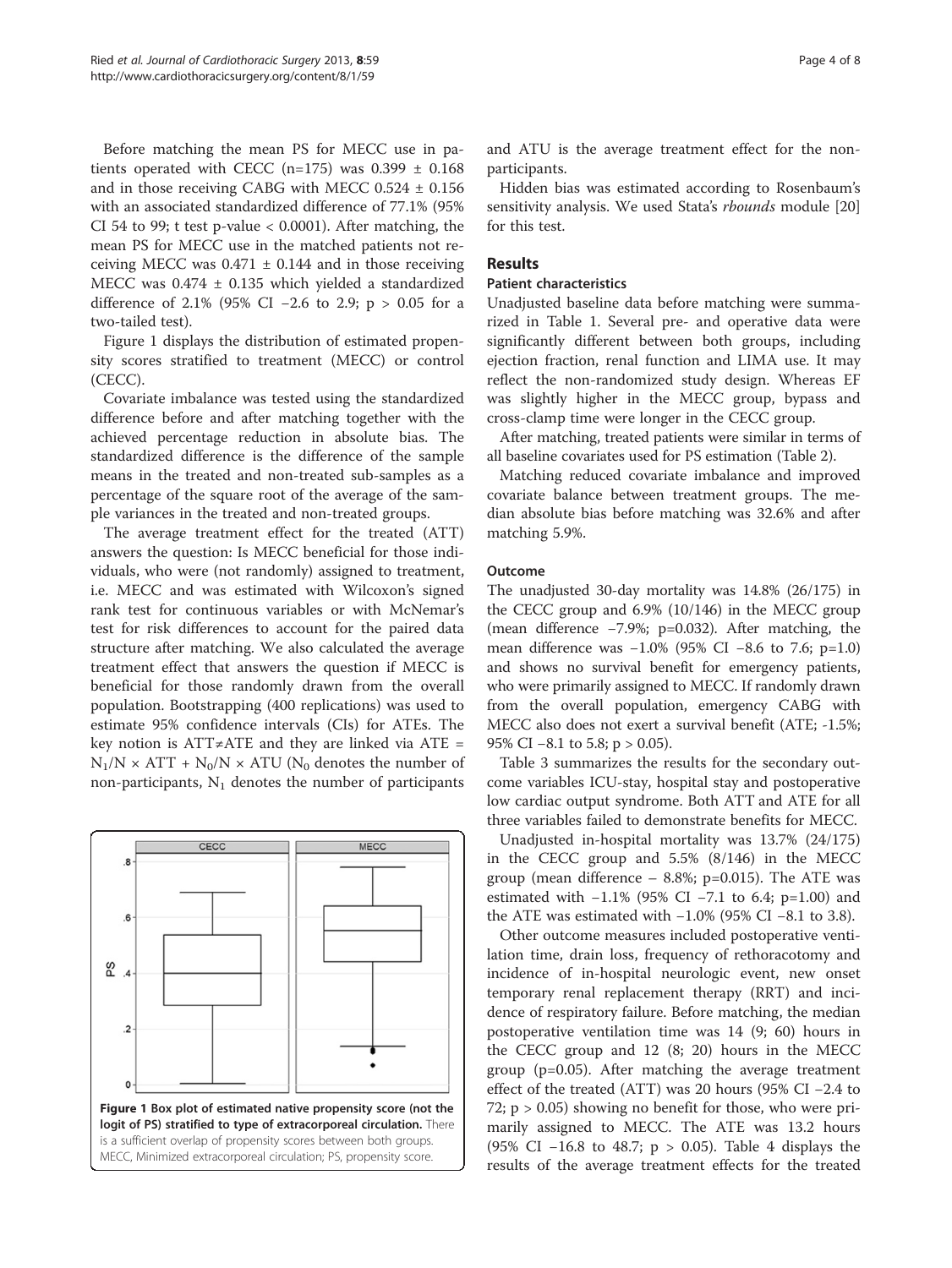Before matching the mean PS for MECC use in patients operated with CECC (n=175) was  $0.399 \pm 0.168$ and in those receiving CABG with MECC 0.524 ± 0.156 with an associated standardized difference of 77.1% (95% CI 54 to 99; t test p-value  $< 0.0001$ ). After matching, the mean PS for MECC use in the matched patients not receiving MECC was  $0.471 \pm 0.144$  and in those receiving MECC was 0.474 ± 0.135 which yielded a standardized difference of 2.1% (95% CI −2.6 to 2.9; p > 0.05 for a two-tailed test).

Figure 1 displays the distribution of estimated propensity scores stratified to treatment (MECC) or control (CECC).

Covariate imbalance was tested using the standardized difference before and after matching together with the achieved percentage reduction in absolute bias. The standardized difference is the difference of the sample means in the treated and non-treated sub-samples as a percentage of the square root of the average of the sample variances in the treated and non-treated groups.

The average treatment effect for the treated (ATT) answers the question: Is MECC beneficial for those individuals, who were (not randomly) assigned to treatment, i.e. MECC and was estimated with Wilcoxon's signed rank test for continuous variables or with McNemar's test for risk differences to account for the paired data structure after matching. We also calculated the average treatment effect that answers the question if MECC is beneficial for those randomly drawn from the overall population. Bootstrapping (400 replications) was used to estimate 95% confidence intervals (CIs) for ATEs. The key notion is ATT≠ATE and they are linked via ATE =  $N_1/N \times ATT + N_0/N \times ATU$  (N<sub>0</sub> denotes the number of non-participants,  $N_1$  denotes the number of participants



and ATU is the average treatment effect for the nonparticipants.

Hidden bias was estimated according to Rosenbaum's sensitivity analysis. We used Stata's *rbounds* module [[20](#page-6-0)] for this test.

## Results

#### Patient characteristics

Unadjusted baseline data before matching were summarized in Table [1.](#page-2-0) Several pre- and operative data were significantly different between both groups, including ejection fraction, renal function and LIMA use. It may reflect the non-randomized study design. Whereas EF was slightly higher in the MECC group, bypass and cross-clamp time were longer in the CECC group.

After matching, treated patients were similar in terms of all baseline covariates used for PS estimation (Table [2](#page-4-0)).

Matching reduced covariate imbalance and improved covariate balance between treatment groups. The median absolute bias before matching was 32.6% and after matching 5.9%.

#### Outcome

The unadjusted 30-day mortality was 14.8% (26/175) in the CECC group and 6.9% (10/146) in the MECC group (mean difference −7.9%; p=0.032). After matching, the mean difference was −1.0% (95% CI −8.6 to 7.6; p=1.0) and shows no survival benefit for emergency patients, who were primarily assigned to MECC. If randomly drawn from the overall population, emergency CABG with MECC also does not exert a survival benefit (ATE; -1.5%; 95% CI −8.1 to 5.8; p > 0.05).

Table [3](#page-4-0) summarizes the results for the secondary outcome variables ICU-stay, hospital stay and postoperative low cardiac output syndrome. Both ATT and ATE for all three variables failed to demonstrate benefits for MECC.

Unadjusted in-hospital mortality was 13.7% (24/175) in the CECC group and 5.5% (8/146) in the MECC group (mean difference  $-$  8.8%; p=0.015). The ATE was estimated with −1.1% (95% CI −7.1 to 6.4; p=1.00) and the ATE was estimated with −1.0% (95% CI −8.1 to 3.8).

Other outcome measures included postoperative ventilation time, drain loss, frequency of rethoracotomy and incidence of in-hospital neurologic event, new onset temporary renal replacement therapy (RRT) and incidence of respiratory failure. Before matching, the median postoperative ventilation time was 14 (9; 60) hours in the CECC group and 12 (8; 20) hours in the MECC group (p=0.05). After matching the average treatment effect of the treated (ATT) was 20 hours (95% CI −2.4 to 72; p > 0.05) showing no benefit for those, who were primarily assigned to MECC. The ATE was 13.2 hours (95% CI −16.8 to 48.7; p > 0.05). Table [4](#page-5-0) displays the results of the average treatment effects for the treated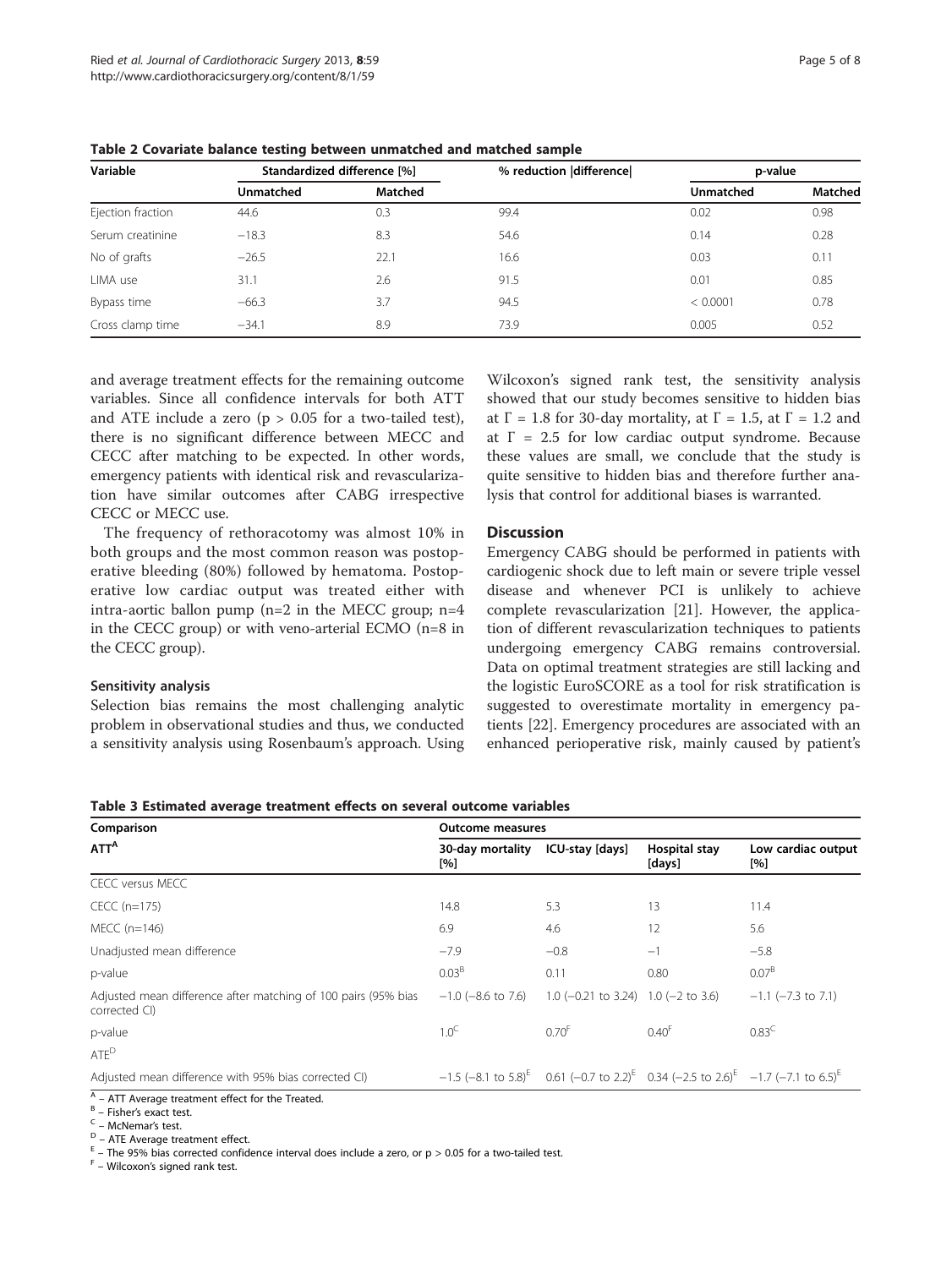| Variable          |           | Standardized difference [%] | % reduction difference | p-value          |                |
|-------------------|-----------|-----------------------------|------------------------|------------------|----------------|
|                   | Unmatched | <b>Matched</b>              |                        | <b>Unmatched</b> | <b>Matched</b> |
| Ejection fraction | 44.6      | 0.3                         | 99.4                   | 0.02             | 0.98           |
| Serum creatinine  | $-18.3$   | 8.3                         | 54.6                   | 0.14             | 0.28           |
| No of grafts      | $-26.5$   | 22.1                        | 16.6                   | 0.03             | 0.11           |
| LIMA use          | 31.1      | 2.6                         | 91.5                   | 0.01             | 0.85           |
| Bypass time       | $-66.3$   | 3.7                         | 94.5                   | < 0.0001         | 0.78           |
| Cross clamp time  | $-34.1$   | 8.9                         | 73.9                   | 0.005            | 0.52           |

<span id="page-4-0"></span>Table 2 Covariate balance testing between unmatched and matched sample

and average treatment effects for the remaining outcome variables. Since all confidence intervals for both ATT and ATE include a zero ( $p > 0.05$  for a two-tailed test), there is no significant difference between MECC and CECC after matching to be expected. In other words, emergency patients with identical risk and revascularization have similar outcomes after CABG irrespective CECC or MECC use.

The frequency of rethoracotomy was almost 10% in both groups and the most common reason was postoperative bleeding (80%) followed by hematoma. Postoperative low cardiac output was treated either with intra-aortic ballon pump (n=2 in the MECC group; n=4 in the CECC group) or with veno-arterial ECMO (n=8 in the CECC group).

#### Sensitivity analysis

Selection bias remains the most challenging analytic problem in observational studies and thus, we conducted a sensitivity analysis using Rosenbaum's approach. Using

Wilcoxon's signed rank test, the sensitivity analysis showed that our study becomes sensitive to hidden bias at  $\Gamma = 1.8$  for 30-day mortality, at  $\Gamma = 1.5$ , at  $\Gamma = 1.2$  and at  $\Gamma = 2.5$  for low cardiac output syndrome. Because these values are small, we conclude that the study is quite sensitive to hidden bias and therefore further analysis that control for additional biases is warranted.

#### **Discussion**

Emergency CABG should be performed in patients with cardiogenic shock due to left main or severe triple vessel disease and whenever PCI is unlikely to achieve complete revascularization [[21](#page-6-0)]. However, the application of different revascularization techniques to patients undergoing emergency CABG remains controversial. Data on optimal treatment strategies are still lacking and the logistic EuroSCORE as a tool for risk stratification is suggested to overestimate mortality in emergency patients [[22](#page-6-0)]. Emergency procedures are associated with an enhanced perioperative risk, mainly caused by patient's

| Comparison                                                                      | <b>Outcome measures</b> |                                                                                                                                   |                         |                            |
|---------------------------------------------------------------------------------|-------------------------|-----------------------------------------------------------------------------------------------------------------------------------|-------------------------|----------------------------|
| ATT <sup>A</sup>                                                                | 30-day mortality<br>[%] | ICU-stay [days]                                                                                                                   | Hospital stay<br>[days] | Low cardiac output<br>[%]  |
| CECC versus MECC                                                                |                         |                                                                                                                                   |                         |                            |
| CECC (n=175)                                                                    | 14.8                    | 5.3                                                                                                                               | 13                      | 11.4                       |
| $MECC (n=146)$                                                                  | 6.9                     | 4.6                                                                                                                               | 12                      | 5.6                        |
| Unadjusted mean difference                                                      | $-7.9$                  | $-0.8$                                                                                                                            | $-1$                    | $-5.8$                     |
| p-value                                                                         | 0.03 <sup>B</sup>       | 0.11                                                                                                                              | 0.80                    | 0.07 <sup>B</sup>          |
| Adjusted mean difference after matching of 100 pairs (95% bias<br>corrected CI) | $-1.0$ ( $-8.6$ to 7.6) | $1.0$ (-0.21 to 3.24) $1.0$ (-2 to 3.6)                                                                                           |                         | $-1.1$ ( $-7.3$ to $7.1$ ) |
| p-value                                                                         | 1.0 <sup>C</sup>        | $0.70^{+}$                                                                                                                        | 0.40 <sup>h</sup>       | 0.83 <sup>C</sup>          |
| $ATE^{D}$                                                                       |                         |                                                                                                                                   |                         |                            |
| Adjusted mean difference with 95% bias corrected CI)                            |                         | $-1.5$ (-8.1 to 5.8) <sup>E</sup> 0.61 (-0.7 to 2.2) <sup>E</sup> 0.34 (-2.5 to 2.6) <sup>E</sup> -1.7 (-7.1 to 6.5) <sup>E</sup> |                         |                            |

A – ATT Average treatment effect for the Treated.<br>  $B -$  Fisher's exact test.<br>
C – McNemar's test.<br>  $D -$  ATE Average treatment effect.<br>  $D -$  ATE Average treatment effect.<br>  $E -$  The 95% bias corrected confidence interval do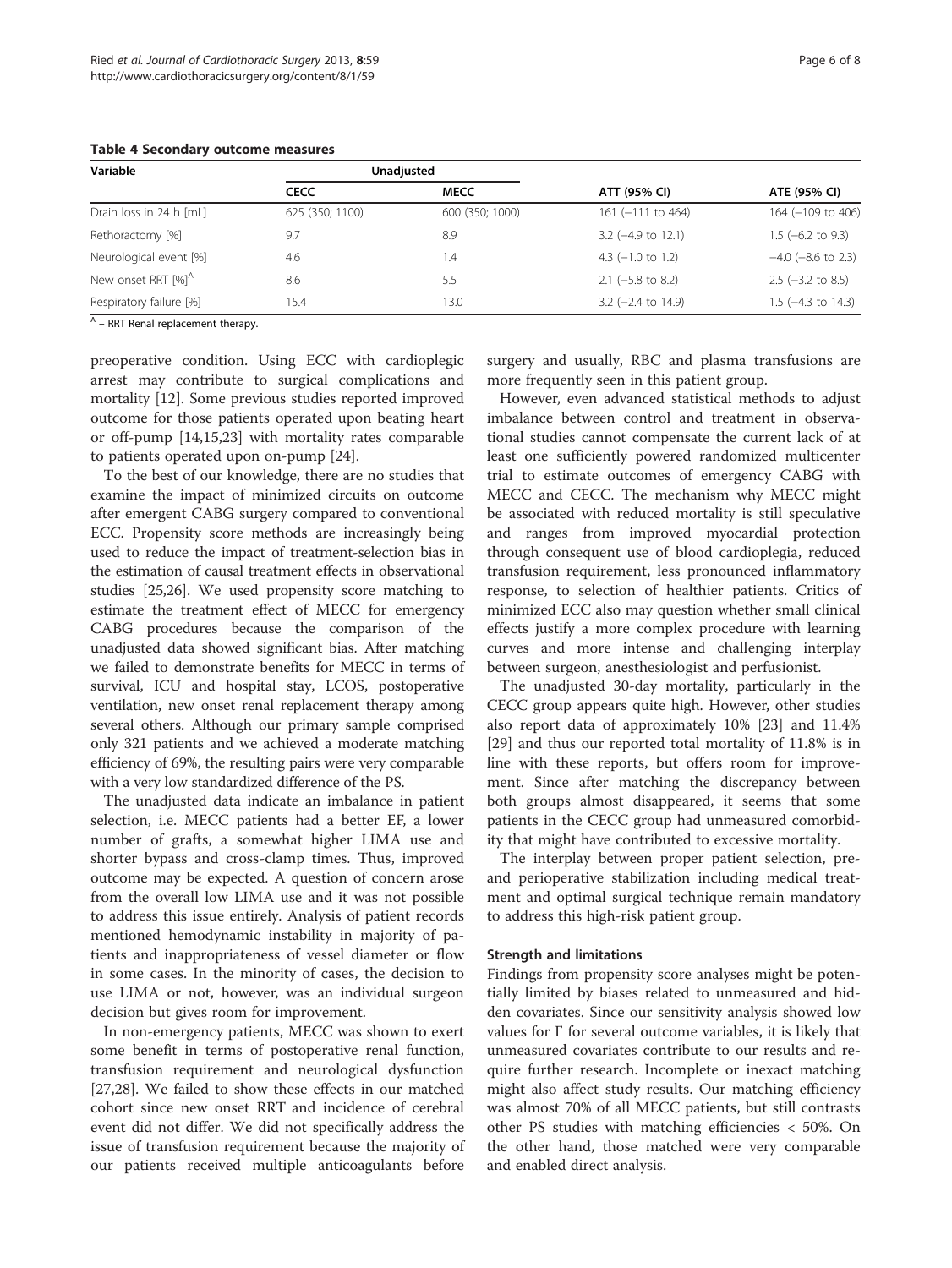| Variable                       |                 | <b>Unadjusted</b> |                      |                         |
|--------------------------------|-----------------|-------------------|----------------------|-------------------------|
|                                | <b>CECC</b>     | <b>MECC</b>       | ATT (95% CI)         | ATE (95% CI)            |
| Drain loss in 24 h [mL]        | 625 (350; 1100) | 600 (350; 1000)   | $161$ (-111 to 464)  | 164 (-109 to 406)       |
| Rethoractomy [%]               | 9.7             | 8.9               | $3.2$ (-4.9 to 12.1) | $1.5$ (-6.2 to 9.3)     |
| Neurological event [%]         | 4.6             | 1.4               | $4.3$ (-1.0 to 1.2)  | $-4.0$ ( $-8.6$ to 2.3) |
| New onset RRT [%] <sup>A</sup> | 8.6             | 5.5               | $2.1$ (-5.8 to 8.2)  | $2.5$ (-3.2 to 8.5)     |
| Respiratory failure [%]        | 15.4            | 13.0              | $3.2$ (-2.4 to 14.9) | 1.5 (-4.3 to 14.3)      |

#### <span id="page-5-0"></span>Table 4 Secondary outcome measures

 $A$  – RRT Renal replacement therapy.

preoperative condition. Using ECC with cardioplegic arrest may contribute to surgical complications and mortality [\[12](#page-6-0)]. Some previous studies reported improved outcome for those patients operated upon beating heart or off-pump [\[14,15,23\]](#page-6-0) with mortality rates comparable to patients operated upon on-pump [[24\]](#page-6-0).

To the best of our knowledge, there are no studies that examine the impact of minimized circuits on outcome after emergent CABG surgery compared to conventional ECC. Propensity score methods are increasingly being used to reduce the impact of treatment-selection bias in the estimation of causal treatment effects in observational studies [\[25,26\]](#page-6-0). We used propensity score matching to estimate the treatment effect of MECC for emergency CABG procedures because the comparison of the unadjusted data showed significant bias. After matching we failed to demonstrate benefits for MECC in terms of survival, ICU and hospital stay, LCOS, postoperative ventilation, new onset renal replacement therapy among several others. Although our primary sample comprised only 321 patients and we achieved a moderate matching efficiency of 69%, the resulting pairs were very comparable with a very low standardized difference of the PS.

The unadjusted data indicate an imbalance in patient selection, i.e. MECC patients had a better EF, a lower number of grafts, a somewhat higher LIMA use and shorter bypass and cross-clamp times. Thus, improved outcome may be expected. A question of concern arose from the overall low LIMA use and it was not possible to address this issue entirely. Analysis of patient records mentioned hemodynamic instability in majority of patients and inappropriateness of vessel diameter or flow in some cases. In the minority of cases, the decision to use LIMA or not, however, was an individual surgeon decision but gives room for improvement.

In non-emergency patients, MECC was shown to exert some benefit in terms of postoperative renal function, transfusion requirement and neurological dysfunction [[27,28\]](#page-6-0). We failed to show these effects in our matched cohort since new onset RRT and incidence of cerebral event did not differ. We did not specifically address the issue of transfusion requirement because the majority of our patients received multiple anticoagulants before

surgery and usually, RBC and plasma transfusions are more frequently seen in this patient group.

However, even advanced statistical methods to adjust imbalance between control and treatment in observational studies cannot compensate the current lack of at least one sufficiently powered randomized multicenter trial to estimate outcomes of emergency CABG with MECC and CECC. The mechanism why MECC might be associated with reduced mortality is still speculative and ranges from improved myocardial protection through consequent use of blood cardioplegia, reduced transfusion requirement, less pronounced inflammatory response, to selection of healthier patients. Critics of minimized ECC also may question whether small clinical effects justify a more complex procedure with learning curves and more intense and challenging interplay between surgeon, anesthesiologist and perfusionist.

The unadjusted 30-day mortality, particularly in the CECC group appears quite high. However, other studies also report data of approximately 10% [\[23](#page-6-0)] and 11.4% [[29\]](#page-7-0) and thus our reported total mortality of 11.8% is in line with these reports, but offers room for improvement. Since after matching the discrepancy between both groups almost disappeared, it seems that some patients in the CECC group had unmeasured comorbidity that might have contributed to excessive mortality.

The interplay between proper patient selection, preand perioperative stabilization including medical treatment and optimal surgical technique remain mandatory to address this high-risk patient group.

#### Strength and limitations

Findings from propensity score analyses might be potentially limited by biases related to unmeasured and hidden covariates. Since our sensitivity analysis showed low values for Γ for several outcome variables, it is likely that unmeasured covariates contribute to our results and require further research. Incomplete or inexact matching might also affect study results. Our matching efficiency was almost 70% of all MECC patients, but still contrasts other PS studies with matching efficiencies < 50%. On the other hand, those matched were very comparable and enabled direct analysis.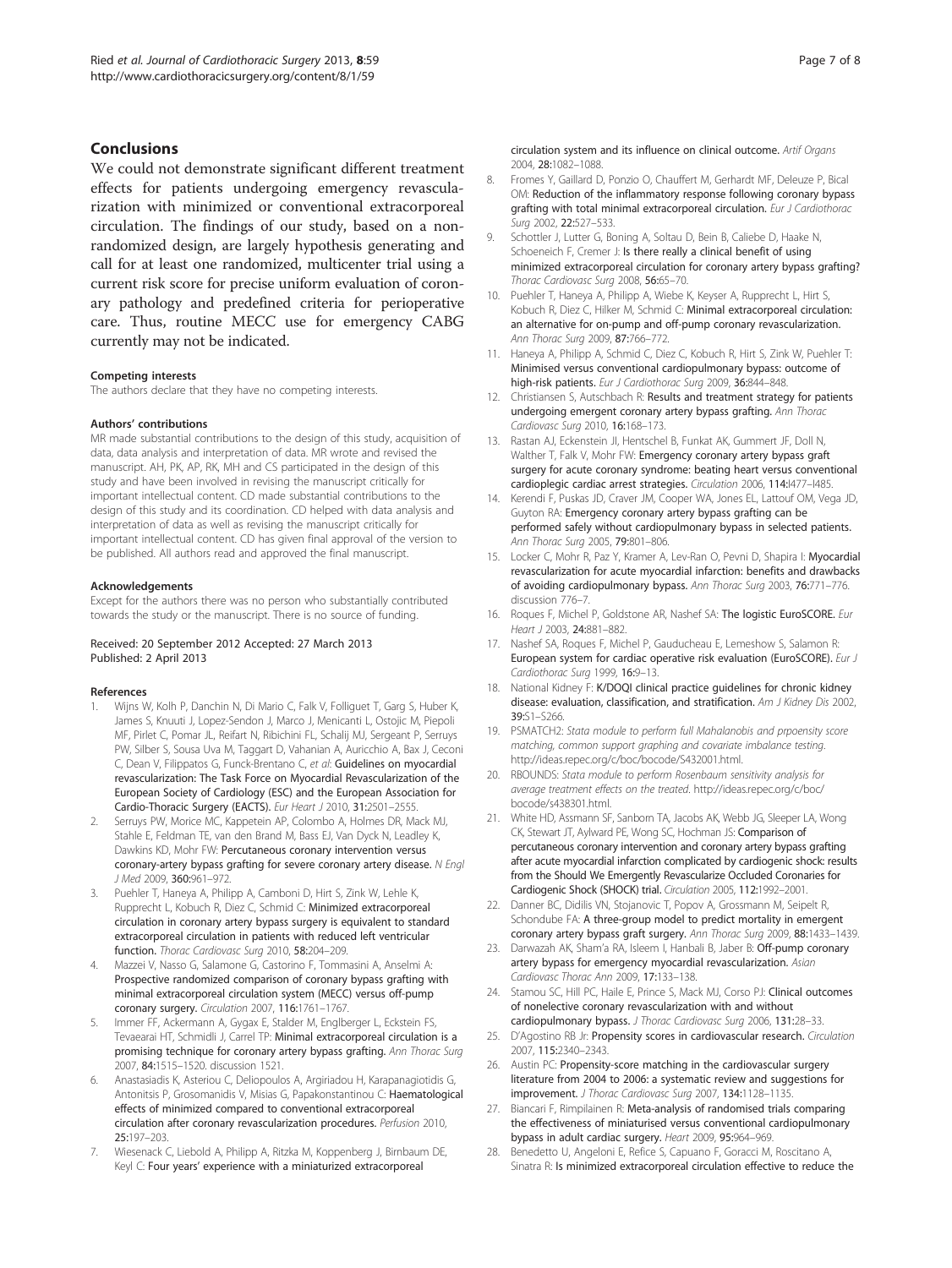#### <span id="page-6-0"></span>Conclusions

We could not demonstrate significant different treatment effects for patients undergoing emergency revascularization with minimized or conventional extracorporeal circulation. The findings of our study, based on a nonrandomized design, are largely hypothesis generating and call for at least one randomized, multicenter trial using a current risk score for precise uniform evaluation of coronary pathology and predefined criteria for perioperative care. Thus, routine MECC use for emergency CABG currently may not be indicated.

#### Competing interests

The authors declare that they have no competing interests.

#### Authors' contributions

MR made substantial contributions to the design of this study, acquisition of data, data analysis and interpretation of data. MR wrote and revised the manuscript. AH, PK, AP, RK, MH and CS participated in the design of this study and have been involved in revising the manuscript critically for important intellectual content. CD made substantial contributions to the design of this study and its coordination. CD helped with data analysis and interpretation of data as well as revising the manuscript critically for important intellectual content. CD has given final approval of the version to be published. All authors read and approved the final manuscript.

#### Acknowledgements

Except for the authors there was no person who substantially contributed towards the study or the manuscript. There is no source of funding.

#### Received: 20 September 2012 Accepted: 27 March 2013 Published: 2 April 2013

#### References

- Wijns W, Kolh P, Danchin N, Di Mario C, Falk V, Folliquet T, Garg S, Huber K, James S, Knuuti J, Lopez-Sendon J, Marco J, Menicanti L, Ostojic M, Piepoli MF, Pirlet C, Pomar JL, Reifart N, Ribichini FL, Schalij MJ, Sergeant P, Serruys PW, Silber S, Sousa Uva M, Taggart D, Vahanian A, Auricchio A, Bax J, Ceconi C, Dean V, Filippatos G, Funck-Brentano C, et al: Guidelines on myocardial revascularization: The Task Force on Myocardial Revascularization of the European Society of Cardiology (ESC) and the European Association for Cardio-Thoracic Surgery (EACTS). Eur Heart J 2010, 31:2501–2555.
- 2. Serruys PW, Morice MC, Kappetein AP, Colombo A, Holmes DR, Mack MJ, Stahle E, Feldman TE, van den Brand M, Bass EJ, Van Dyck N, Leadley K, Dawkins KD, Mohr FW: Percutaneous coronary intervention versus coronary-artery bypass grafting for severe coronary artery disease. N Engl J Med 2009, 360:961–972.
- Puehler T, Haneya A, Philipp A, Camboni D, Hirt S, Zink W, Lehle K, Rupprecht L, Kobuch R, Diez C, Schmid C: Minimized extracorporeal circulation in coronary artery bypass surgery is equivalent to standard extracorporeal circulation in patients with reduced left ventricular function. Thorac Cardiovasc Surg 2010, 58:204–209.
- 4. Mazzei V, Nasso G, Salamone G, Castorino F, Tommasini A, Anselmi A: Prospective randomized comparison of coronary bypass grafting with minimal extracorporeal circulation system (MECC) versus off-pump coronary surgery. Circulation 2007, 116:1761–1767.
- Immer FF, Ackermann A, Gygax E, Stalder M, Englberger L, Eckstein FS, Tevaearai HT, Schmidli J, Carrel TP: Minimal extracorporeal circulation is a promising technique for coronary artery bypass grafting. Ann Thorac Surg 2007, 84:1515–1520. discussion 1521.
- 6. Anastasiadis K, Asteriou C, Deliopoulos A, Argiriadou H, Karapanagiotidis G, Antonitsis P, Grosomanidis V, Misias G, Papakonstantinou C: Haematological effects of minimized compared to conventional extracorporeal circulation after coronary revascularization procedures. Perfusion 2010, 25:197–203.
- 7. Wiesenack C, Liebold A, Philipp A, Ritzka M, Koppenberg J, Birnbaum DE, Keyl C: Four years' experience with a miniaturized extracorporeal
- 8. Fromes Y, Gaillard D, Ponzio O, Chauffert M, Gerhardt MF, Deleuze P, Bical OM: Reduction of the inflammatory response following coronary bypass grafting with total minimal extracorporeal circulation. Eur J Cardiothorac Surg 2002, 22:527–533.
- 9. Schottler J, Lutter G, Boning A, Soltau D, Bein B, Caliebe D, Haake N, Schoeneich F, Cremer J: Is there really a clinical benefit of using minimized extracorporeal circulation for coronary artery bypass grafting? Thorac Cardiovasc Surg 2008, 56:65-70.
- 10. Puehler T, Haneya A, Philipp A, Wiebe K, Keyser A, Rupprecht L, Hirt S, Kobuch R, Diez C, Hilker M, Schmid C: Minimal extracorporeal circulation: an alternative for on-pump and off-pump coronary revascularization. Ann Thorac Surg 2009, 87:766–772.
- 11. Haneya A, Philipp A, Schmid C, Diez C, Kobuch R, Hirt S, Zink W, Puehler T: Minimised versus conventional cardiopulmonary bypass: outcome of high-risk patients. Eur J Cardiothorac Surg 2009, 36:844-848.
- 12. Christiansen S, Autschbach R: Results and treatment strategy for patients undergoing emergent coronary artery bypass grafting. Ann Thorac Cardiovasc Surg 2010, 16:168–173.
- 13. Rastan AJ, Eckenstein JI, Hentschel B, Funkat AK, Gummert JF, Doll N, Walther T, Falk V, Mohr FW: Emergency coronary artery bypass graft surgery for acute coronary syndrome: beating heart versus conventional cardioplegic cardiac arrest strategies. Circulation 2006, 114: 477-1485.
- 14. Kerendi F, Puskas JD, Craver JM, Cooper WA, Jones EL, Lattouf OM, Vega JD, Guyton RA: Emergency coronary artery bypass grafting can be performed safely without cardiopulmonary bypass in selected patients. Ann Thorac Surg 2005, 79:801–806.
- 15. Locker C, Mohr R, Paz Y, Kramer A, Lev-Ran O, Pevni D, Shapira I: Myocardial revascularization for acute myocardial infarction: benefits and drawbacks of avoiding cardiopulmonary bypass. Ann Thorac Surg 2003, 76:771–776. discussion 776–7.
- 16. Roques F, Michel P, Goldstone AR, Nashef SA: The logistic EuroSCORE. Eur Heart J 2003, 24:881–882.
- 17. Nashef SA, Roques F, Michel P, Gauducheau E, Lemeshow S, Salamon R: European system for cardiac operative risk evaluation (EuroSCORE). Eur J Cardiothorac Surg 1999, 16:9–13.
- 18. National Kidney F: K/DOQI clinical practice guidelines for chronic kidney disease: evaluation, classification, and stratification. Am J Kidney Dis 2002, 39:S1–S266.
- 19. PSMATCH2: Stata module to perform full Mahalanobis and prpoensity score matching, common support graphing and covariate imbalance testing. [http://ideas.repec.org/c/boc/bocode/S432001.html.](http://ideas.repec.org/c/boc/bocode/S432001.html)
- 20. RBOUNDS: Stata module to perform Rosenbaum sensitivity analysis for average treatment effects on the treated. [http://ideas.repec.org/c/boc/](http://ideas.repec.org/c/boc/bocode/s438301.html) [bocode/s438301.html](http://ideas.repec.org/c/boc/bocode/s438301.html).
- 21. White HD, Assmann SF, Sanborn TA, Jacobs AK, Webb JG, Sleeper LA, Wong CK, Stewart JT, Aylward PE, Wong SC, Hochman JS: Comparison of percutaneous coronary intervention and coronary artery bypass grafting after acute myocardial infarction complicated by cardiogenic shock: results from the Should We Emergently Revascularize Occluded Coronaries for Cardiogenic Shock (SHOCK) trial. Circulation 2005, 112:1992–2001.
- 22. Danner BC, Didilis VN, Stojanovic T, Popov A, Grossmann M, Seipelt R, Schondube FA: A three-group model to predict mortality in emergent coronary artery bypass graft surgery. Ann Thorac Surg 2009, 88:1433–1439.
- 23. Darwazah AK, Sham'a RA, Isleem I, Hanbali B, Jaber B: Off-pump coronary artery bypass for emergency myocardial revascularization. Asian Cardiovasc Thorac Ann 2009, 17:133–138.
- 24. Stamou SC, Hill PC, Haile E, Prince S, Mack MJ, Corso PJ: Clinical outcomes of nonelective coronary revascularization with and without cardiopulmonary bypass. J Thorac Cardiovasc Surg 2006, 131:28-33.
- 25. D'Agostino RB Jr: Propensity scores in cardiovascular research. Circulation 2007, 115:2340–2343.
- 26. Austin PC: Propensity-score matching in the cardiovascular surgery literature from 2004 to 2006: a systematic review and suggestions for improvement. J Thorac Cardiovasc Surg 2007, 134:1128–1135.
- 27. Biancari F, Rimpilainen R: Meta-analysis of randomised trials comparing the effectiveness of miniaturised versus conventional cardiopulmonary bypass in adult cardiac surgery. Heart 2009, 95:964–969.
- 28. Benedetto U, Angeloni E, Refice S, Capuano F, Goracci M, Roscitano A, Sinatra R: Is minimized extracorporeal circulation effective to reduce the